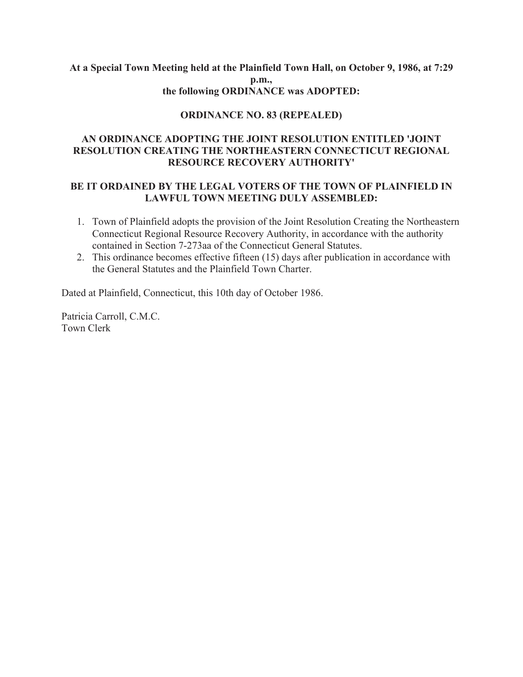## **At a Special Town Meeting held at the Plainfield Town Hall, on October 9, 1986, at 7:29 p.m., the following ORDINANCE was ADOPTED:**

# **ORDINANCE NO. 83 (REPEALED)**

# **AN ORDINANCE ADOPTING THE JOINT RESOLUTION ENTITLED 'JOINT RESOLUTION CREATING THE NORTHEASTERN CONNECTICUT REGIONAL RESOURCE RECOVERY AUTHORITY'**

## **BE IT ORDAINED BY THE LEGAL VOTERS OF THE TOWN OF PLAINFIELD IN LAWFUL TOWN MEETING DULY ASSEMBLED:**

- 1. Town of Plainfield adopts the provision of the Joint Resolution Creating the Northeastern Connecticut Regional Resource Recovery Authority, in accordance with the authority contained in Section 7-273aa of the Connecticut General Statutes.
- 2. This ordinance becomes effective fifteen (15) days after publication in accordance with the General Statutes and the Plainfield Town Charter.

Dated at Plainfield, Connecticut, this 10th day of October 1986.

Patricia Carroll, C.M.C. Town Clerk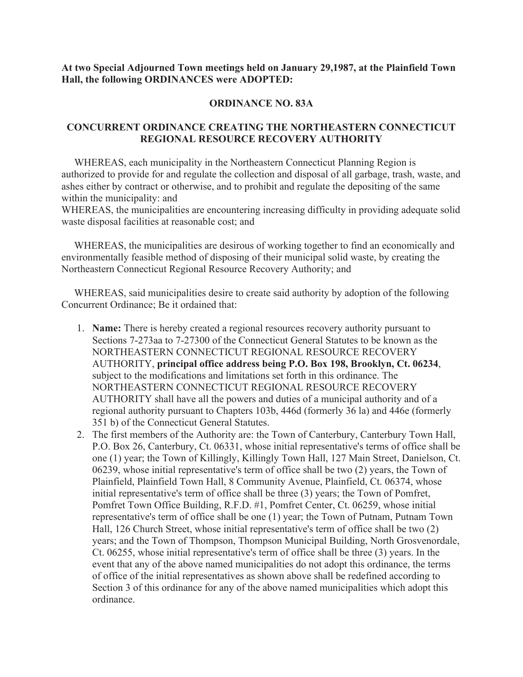**At two Special Adjourned Town meetings held on January 29,1987, at the Plainfield Town Hall, the following ORDINANCES were ADOPTED:**

#### **ORDINANCE NO. 83A**

# **CONCURRENT ORDINANCE CREATING THE NORTHEASTERN CONNECTICUT REGIONAL RESOURCE RECOVERY AUTHORITY**

 WHEREAS, each municipality in the Northeastern Connecticut Planning Region is authorized to provide for and regulate the collection and disposal of all garbage, trash, waste, and ashes either by contract or otherwise, and to prohibit and regulate the depositing of the same within the municipality: and

WHEREAS, the municipalities are encountering increasing difficulty in providing adequate solid waste disposal facilities at reasonable cost; and

 WHEREAS, the municipalities are desirous of working together to find an economically and environmentally feasible method of disposing of their municipal solid waste, by creating the Northeastern Connecticut Regional Resource Recovery Authority; and

 WHEREAS, said municipalities desire to create said authority by adoption of the following Concurrent Ordinance; Be it ordained that:

- 1. **Name:** There is hereby created a regional resources recovery authority pursuant to Sections 7-273aa to 7-27300 of the Connecticut General Statutes to be known as the NORTHEASTERN CONNECTICUT REGIONAL RESOURCE RECOVERY AUTHORITY, **principal office address being P.O. Box 198, Brooklyn, Ct. 06234**, subject to the modifications and limitations set forth in this ordinance. The NORTHEASTERN CONNECTICUT REGIONAL RESOURCE RECOVERY AUTHORITY shall have all the powers and duties of a municipal authority and of a regional authority pursuant to Chapters 103b, 446d (formerly 36 la) and 446e (formerly 351 b) of the Connecticut General Statutes.
- 2. The first members of the Authority are: the Town of Canterbury, Canterbury Town Hall, P.O. Box 26, Canterbury, Ct. 06331, whose initial representative's terms of office shall be one (1) year; the Town of Killingly, Killingly Town Hall, 127 Main Street, Danielson, Ct. 06239, whose initial representative's term of office shall be two (2) years, the Town of Plainfield, Plainfield Town Hall, 8 Community Avenue, Plainfield, Ct. 06374, whose initial representative's term of office shall be three (3) years; the Town of Pomfret, Pomfret Town Office Building, R.F.D. #1, Pomfret Center, Ct. 06259, whose initial representative's term of office shall be one (1) year; the Town of Putnam, Putnam Town Hall, 126 Church Street, whose initial representative's term of office shall be two (2) years; and the Town of Thompson, Thompson Municipal Building, North Grosvenordale, Ct. 06255, whose initial representative's term of office shall be three (3) years. In the event that any of the above named municipalities do not adopt this ordinance, the terms of office of the initial representatives as shown above shall be redefined according to Section 3 of this ordinance for any of the above named municipalities which adopt this ordinance.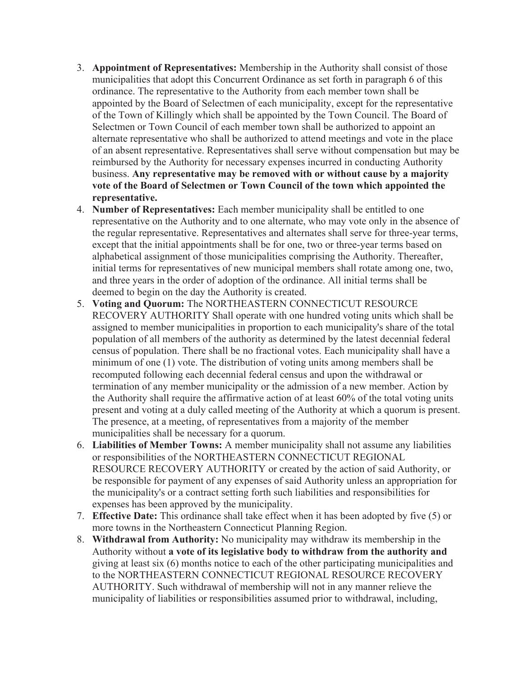- 3. **Appointment of Representatives:** Membership in the Authority shall consist of those municipalities that adopt this Concurrent Ordinance as set forth in paragraph 6 of this ordinance. The representative to the Authority from each member town shall be appointed by the Board of Selectmen of each municipality, except for the representative of the Town of Killingly which shall be appointed by the Town Council. The Board of Selectmen or Town Council of each member town shall be authorized to appoint an alternate representative who shall be authorized to attend meetings and vote in the place of an absent representative. Representatives shall serve without compensation but may be reimbursed by the Authority for necessary expenses incurred in conducting Authority business. **Any representative may be removed with or without cause by a majority vote of the Board of Selectmen or Town Council of the town which appointed the representative.**
- 4. **Number of Representatives:** Each member municipality shall be entitled to one representative on the Authority and to one alternate, who may vote only in the absence of the regular representative. Representatives and alternates shall serve for three-year terms, except that the initial appointments shall be for one, two or three-year terms based on alphabetical assignment of those municipalities comprising the Authority. Thereafter, initial terms for representatives of new municipal members shall rotate among one, two, and three years in the order of adoption of the ordinance. All initial terms shall be deemed to begin on the day the Authority is created.
- 5. **Voting and Quorum:** The NORTHEASTERN CONNECTICUT RESOURCE RECOVERY AUTHORITY Shall operate with one hundred voting units which shall be assigned to member municipalities in proportion to each municipality's share of the total population of all members of the authority as determined by the latest decennial federal census of population. There shall be no fractional votes. Each municipality shall have a minimum of one (1) vote. The distribution of voting units among members shall be recomputed following each decennial federal census and upon the withdrawal or termination of any member municipality or the admission of a new member. Action by the Authority shall require the affirmative action of at least 60% of the total voting units present and voting at a duly called meeting of the Authority at which a quorum is present. The presence, at a meeting, of representatives from a majority of the member municipalities shall be necessary for a quorum.
- 6. **Liabilities of Member Towns:** A member municipality shall not assume any liabilities or responsibilities of the NORTHEASTERN CONNECTICUT REGIONAL RESOURCE RECOVERY AUTHORITY or created by the action of said Authority, or be responsible for payment of any expenses of said Authority unless an appropriation for the municipality's or a contract setting forth such liabilities and responsibilities for expenses has been approved by the municipality.
- 7. **Effective Date:** This ordinance shall take effect when it has been adopted by five (5) or more towns in the Northeastern Connecticut Planning Region.
- 8. **Withdrawal from Authority:** No municipality may withdraw its membership in the Authority without **a vote of its legislative body to withdraw from the authority and** giving at least six (6) months notice to each of the other participating municipalities and to the NORTHEASTERN CONNECTICUT REGIONAL RESOURCE RECOVERY AUTHORITY. Such withdrawal of membership will not in any manner relieve the municipality of liabilities or responsibilities assumed prior to withdrawal, including,